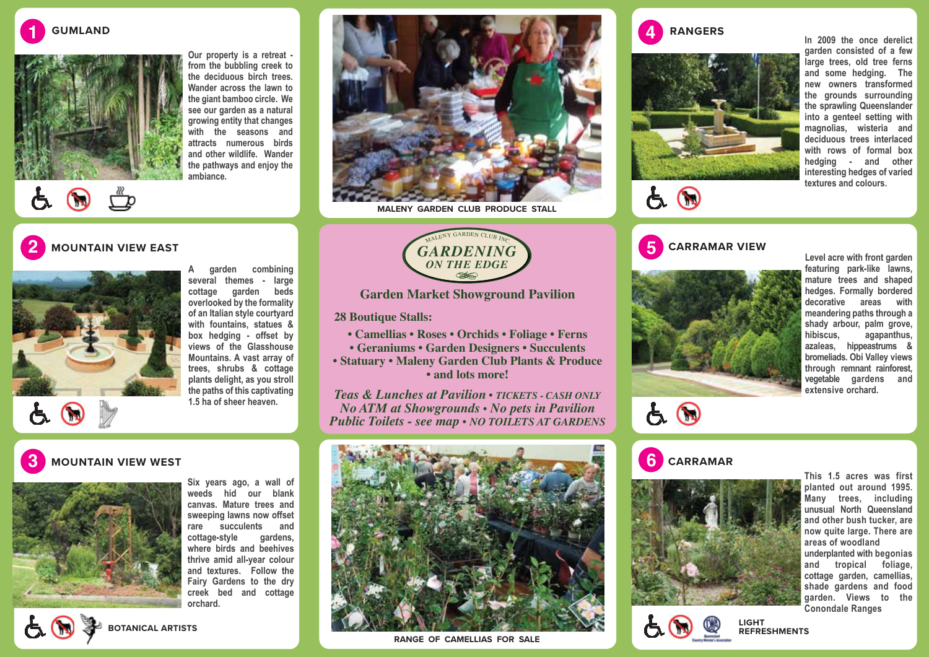



**Our property is a retreat from the bubbling creek to the deciduous birch trees. Wander across the lawn to the giant bamboo circle. We see our garden as a natural growing entity that changes with the seasons and attracts numerous birds and other wildlife. Wander the pathways and enjoy the ambiance.**



**MALENY GARDEN CLUB PRODUCE STALL**



**2 MOUNTAIN VIEW EAST**

**A garden combining several themes - large cottage garden beds overlooked by the formality of an Italian style courtyard with fountains, statues & box hedging - offset by views of the Glasshouse Mountains. A vast array of trees, shrubs & cottage plants delight, as you stroll the paths of this captivating 1.5 ha of sheer heaven.**

## MALENY GARDEN CLUB INC. *GARDENING ON THE EDGE*

**Garden Market Showground Pavilion**

 **28 Boutique Stalls:** 

- **Camellias Roses Orchids Foliage Ferns**
- **Geraniums Garden Designers Succulents**
- **Statuary Maleny Garden Club Plants & Produce • and lots more!**

*Teas & Lunches at Pavilion • TICKETS - CASH ONLY No ATM at Showgrounds • No pets in Pavilion Public Toilets - see map • NO TOILETS AT GARDENS*



**RANGE OF CAMELLIAS FOR SALE**



 $\sigma$   $\sigma$ 



**In 2009 the once derelict garden consisted of a few large trees, old tree ferns and some hedging. The new owners transformed the grounds surrounding the sprawling Queenslander into a genteel setting with magnolias, wisteria and deciduous trees interlaced with rows of formal box hedging - and other interesting hedges of varied textures and colours.**

**5 CARRAMAR VIEW**



**6 CARRAMAR**

**Level acre with front garden featuring park-like lawns, mature trees and shaped hedges. Formally bordered decorative areas with meandering paths through a shady arbour, palm grove, hibiscus, agapanthus, azaleas, hippeastrums & bromeliads. Obi Valley views through remnant rainforest, vegetable gardens and extensive orchard.**

## **3 MOUNTAIN VIEW WEST**



**Six years ago, a wall of weeds hid our blank canvas. Mature trees and sweeping lawns now offset rare succulents and cottage-style gardens, where birds and beehives thrive amid all-year colour and textures. Follow the Fairy Gardens to the dry creek bed and cottage orchard.**





**This 1.5 acres was first planted out around 1995. Many trees, including unusual North Queensland and other bush tucker, are now quite large. There are areas of woodland underplanted with begonias and tropical foliage, cottage garden, camellias, shade gardens and food garden. Views to the Conondale Ranges** 



**REFRESHMENTS**